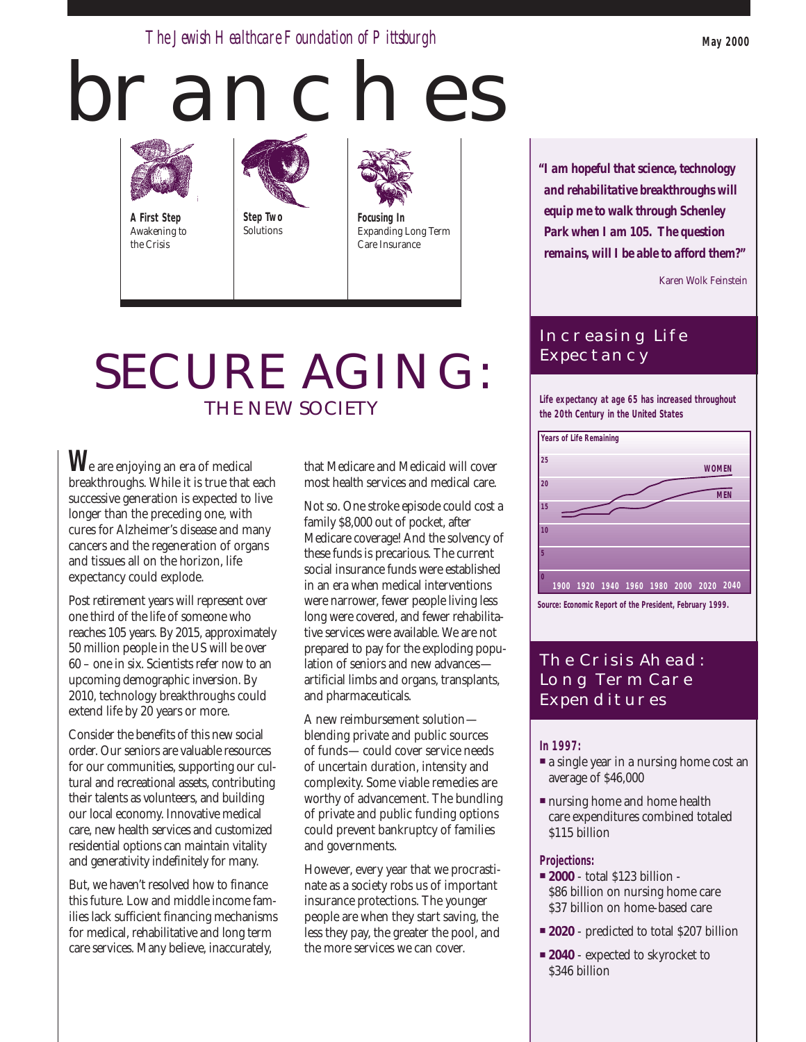*The Jewish Healthcare Foundation of Pittsburgh* **May 2000**

# **BRANCHES**



**A First Step** Awakening to the Crisis





Expanding Long Term Care Insurance

# SECURE AGING: THE NEW SOCIETY

**W**e are enjoying an era of medical breakthroughs. While it is true that each successive generation is expected to live longer than the preceding one, with cures for Alzheimer's disease and many cancers and the regeneration of organs and tissues all on the horizon, life expectancy could explode.

Post retirement years will represent over one third of the life of someone who reaches 105 years. By 2015, approximately 50 million people in the US will be over 60 – one in six. Scientists refer now to an upcoming demographic inversion. By 2010, technology breakthroughs could extend life by 20 years or more.

Consider the benefits of this new social order. Our seniors are valuable resources for our communities, supporting our cultural and recreational assets, contributing their talents as volunteers, and building our local economy. Innovative medical care, new health services and customized residential options can maintain vitality and generativity indefinitely for many.

But, we haven't resolved how to finance this future. Low and middle income families lack sufficient financing mechanisms for medical, rehabilitative and long term care services. Many believe, inaccurately,

that Medicare and Medicaid will cover most health services and medical care.

Not so. One stroke episode could cost a family \$8,000 out of pocket, after Medicare coverage! And the solvency of these funds is precarious. The current social insurance funds were established in an era when medical interventions were narrower, fewer people living less long were covered, and fewer rehabilitative services were available. We are not prepared to pay for the exploding population of seniors and new advances artificial limbs and organs, transplants, and pharmaceuticals.

A new reimbursement solution blending private and public sources of funds—could cover service needs of uncertain duration, intensity and complexity. Some viable remedies are worthy of advancement. The bundling of private and public funding options could prevent bankruptcy of families and governments.

However, every year that we procrastinate as a society robs us of important insurance protections. The younger people are when they start saving, the less they pay, the greater the pool, and the more services we can cover.

*"I am hopeful that science, technology and rehabilitative breakthroughs will equip me to walk through Schenley Park when I am 105. The question remains, will I be able to afford them?"*

Karen Wolk Feinstein

# Increasing Life **EXPECTANCY**

**Life expectancy at age 65 has increased throughout the 20th Century in the United States**



# The Crisis Ahead: Long Term Care **EXPENDITURES**

# **In 1997:**

- a single year in a nursing home cost an average of \$46,000
- nursing home and home health care expenditures combined totaled \$115 billion

# **Projections:**

- **2000** total \$123 billion \$86 billion on nursing home care \$37 billion on home-based care
- **2020** predicted to total \$207 billion
- 2040 expected to skyrocket to \$346 billion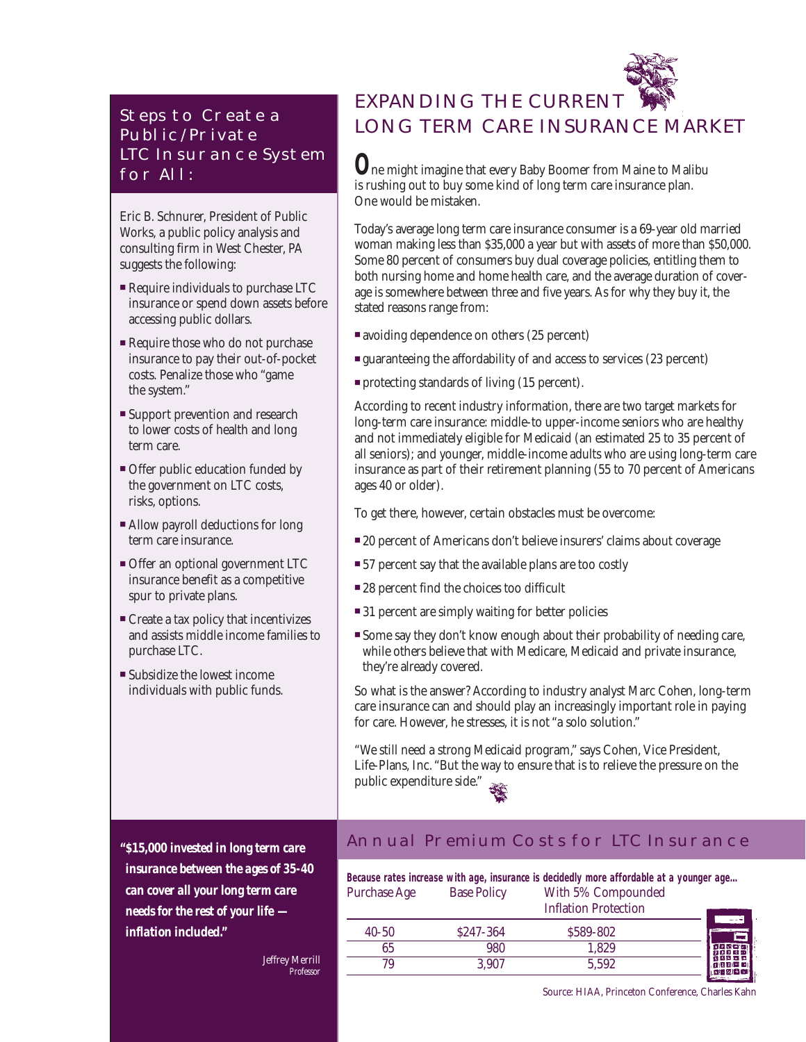# STEPS TO CREATE A Public/Private LTC Insurance System for All:

Eric B. Schnurer, President of Public Works, a public policy analysis and consulting firm in West Chester, PA suggests the following:

- Require individuals to purchase LTC insurance or spend down assets before accessing public dollars.
- Require those who do not purchase insurance to pay their out-of-pocket costs. Penalize those who "game the system."
- Support prevention and research to lower costs of health and long term care.
- Offer public education funded by the government on LTC costs, risks, options.
- Allow payroll deductions for long term care insurance.
- Offer an optional government LTC insurance benefit as a competitive spur to private plans.
- Create a tax policy that incentivizes and assists middle income families to purchase LTC.
- Subsidize the lowest income individuals with public funds.

EXPANDING THE CURRENT LONG TERM CARE INSURANCE MARKET

**O**ne might imagine that every Baby Boomer from Maine to Malibu is rushing out to buy some kind of long term care insurance plan. One would be mistaken.

Today's average long term care insurance consumer is a 69-year old married woman making less than \$35,000 a year but with assets of more than \$50,000. Some 80 percent of consumers buy dual coverage policies, entitling them to both nursing home and home health care, and the average duration of coverage is somewhere between three and five years. As for why they buy it, the stated reasons range from:

- avoiding dependence on others (25 percent)
- guaranteeing the affordability of and access to services (23 percent)
- protecting standards of living (15 percent).

According to recent industry information, there are two target markets for long-term care insurance: middle-to upper-income seniors who are healthy and not immediately eligible for Medicaid (an estimated 25 to 35 percent of all seniors); and younger, middle-income adults who are using long-term care insurance as part of their retirement planning (55 to 70 percent of Americans ages 40 or older).

To get there, however, certain obstacles must be overcome:

- 20 percent of Americans don't believe insurers' claims about coverage
- 57 percent say that the available plans are too costly
- 28 percent find the choices too difficult
- 31 percent are simply waiting for better policies
- Some say they don't know enough about their probability of needing care, while others believe that with Medicare, Medicaid and private insurance, they're already covered.

So what is the answer? According to industry analyst Marc Cohen, long-term care insurance can and should play an increasingly important role in paying for care. However, he stresses, it is not "a solo solution."

"We still need a strong Medicaid program," says Cohen, Vice President, Life-Plans, Inc. "But the way to ensure that is to relieve the pressure on the public expenditure side."

*"\$15,000 invested in long term care insurance between the ages of 35-40 can cover all your long term care needs for the rest of your life inflation included."*

> Jeffrey Merrill *Professor*

# Annual Premium Costs for LTC Insurance

|                     |                    | Because rates increase with age, insurance is decidedly more affordable at a younger age |              |
|---------------------|--------------------|------------------------------------------------------------------------------------------|--------------|
| <b>Purchase Age</b> | <b>Base Policy</b> | With 5% Compounded<br><b>Inflation Protection</b>                                        |              |
| $40 - 50$           | \$247-364          | \$589-802                                                                                |              |
| 65                  | 980                | 1.829                                                                                    |              |
| 79                  | 3,907              | 5.592                                                                                    | ◎ 西域 忍(凸白) ▲ |

Source: HIAA, Princeton Conference, Charles Kahn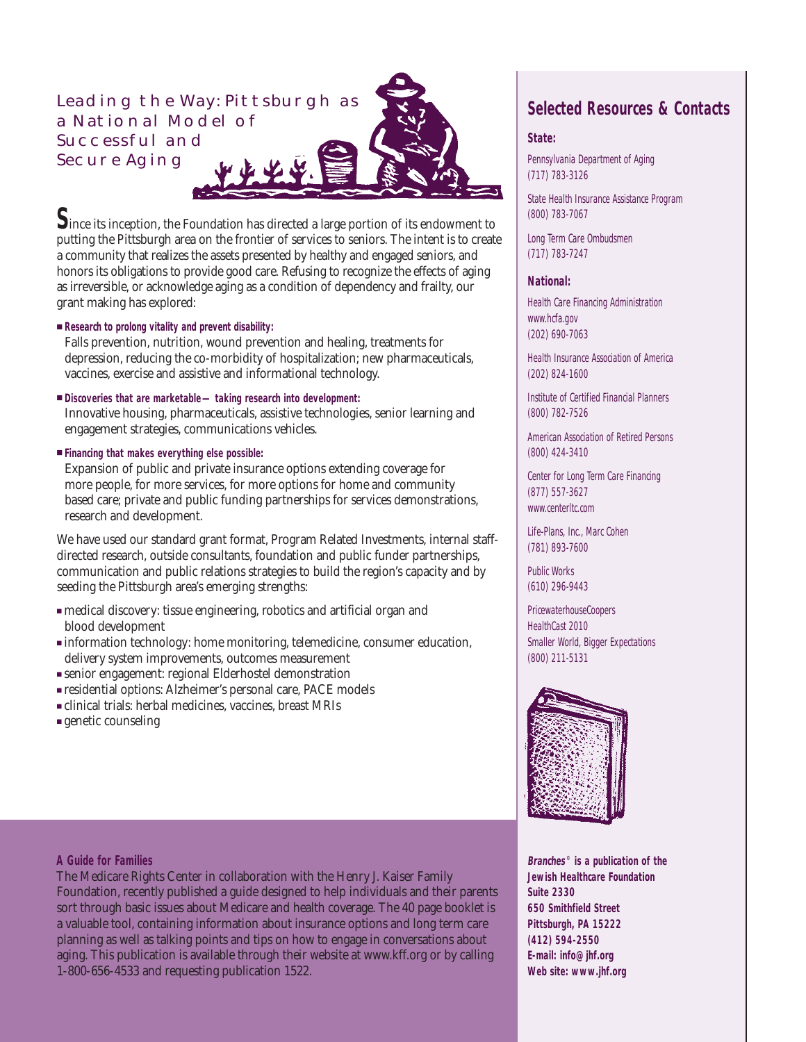# Leading the Way: Pittsburgh as a National Model of Successful and Secure Aging

**S**ince its inception, the Foundation has directed a large portion of its endowment to putting the Pittsburgh area on the frontier of services to seniors. The intent is to create a community that realizes the assets presented by healthy and engaged seniors, and honors its obligations to provide good care. Refusing to recognize the effects of aging as irreversible, or acknowledge aging as a condition of dependency and frailty, our grant making has explored:

# ■ **Research to prolong vitality and prevent disability:**

Falls prevention, nutrition, wound prevention and healing, treatments for depression, reducing the co-morbidity of hospitalization; new pharmaceuticals, vaccines, exercise and assistive and informational technology.

■ **Discoveries that are marketable—taking research into development:**

Innovative housing, pharmaceuticals, assistive technologies, senior learning and engagement strategies, communications vehicles.

■ **Financing that makes everything else possible:**

Expansion of public and private insurance options extending coverage for more people, for more services, for more options for home and community based care; private and public funding partnerships for services demonstrations, research and development.

We have used our standard grant format, Program Related Investments, internal staffdirected research, outside consultants, foundation and public funder partnerships, communication and public relations strategies to build the region's capacity and by seeding the Pittsburgh area's emerging strengths:

- medical discovery: tissue engineering, robotics and artificial organ and blood development
- information technology: home monitoring, telemedicine, consumer education, delivery system improvements, outcomes measurement
- senior engagement: regional Elderhostel demonstration
- residential options: Alzheimer's personal care, PACE models
- clinical trials: herbal medicines, vaccines, breast MRIs
- genetic counseling

# **Selected Resources & Contacts**

## **State:**

Pennsylvania Department of Aging (717) 783-3126

State Health Insurance Assistance Program (800) 783-7067

Long Term Care Ombudsmen (717) 783-7247

# **National:**

Health Care Financing Administration www.hcfa.gov (202) 690-7063

Health Insurance Association of America (202) 824-1600

Institute of Certified Financial Planners (800) 782-7526

American Association of Retired Persons (800) 424-3410

Center for Long Term Care Financing (877) 557-3627 www.centerltc.com

Life-Plans, Inc., Marc Cohen (781) 893-7600

Public Works (610) 296-9443

PricewaterhouseCoopers HealthCast 2010 Smaller World, Bigger Expectations (800) 211-5131



**Branches© is a publication of the Jewish Healthcare Foundation Suite 2330 650 Smithfield Street Pittsburgh, PA 15222 (412) 594-2550 E-mail: info@jhf.org Web site: www.jhf.org**

# **A Guide for Families**

The Medicare Rights Center in collaboration with the Henry J. Kaiser Family Foundation, recently published a guide designed to help individuals and their parents sort through basic issues about Medicare and health coverage. The 40 page booklet is a valuable tool, containing information about insurance options and long term care planning as well as talking points and tips on how to engage in conversations about aging. This publication is available through their website at www.kff.org or by calling 1-800-656-4533 and requesting publication 1522.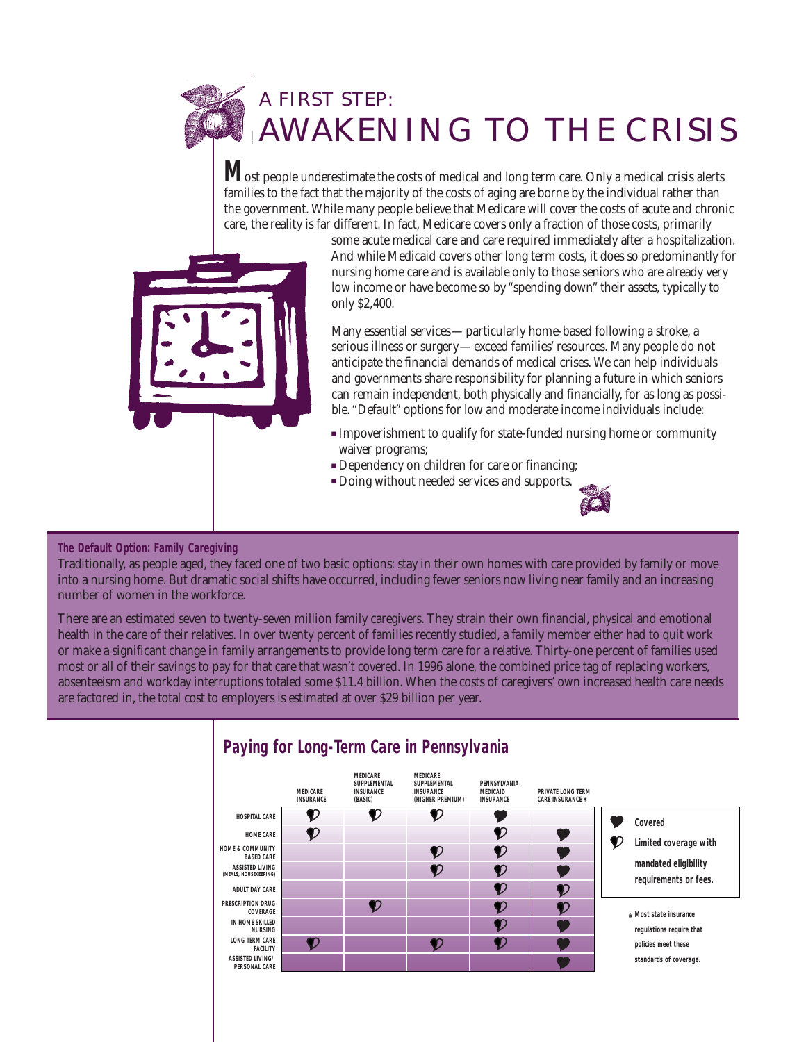# A FIRST STEP: AWAKENING TO THE CRISIS

**M**ost people underestimate the costs of medical and long term care. Only a medical crisis alerts families to the fact that the majority of the costs of aging are borne by the individual rather than the government. While many people believe that Medicare will cover the costs of acute and chronic care, the reality is far different. In fact, Medicare covers only a fraction of those costs, primarily



some acute medical care and care required immediately after a hospitalization. And while Medicaid covers other long term costs, it does so predominantly for nursing home care and is available only to those seniors who are already very low income or have become so by "spending down" their assets, typically to only \$2,400.

Many essential services—particularly home-based following a stroke, a serious illness or surgery—exceed families' resources. Many people do not anticipate the financial demands of medical crises. We can help individuals and governments share responsibility for planning a future in which seniors can remain independent, both physically and financially, for as long as possible. "Default" options for low and moderate income individuals include:

- Impoverishment to qualify for state-funded nursing home or community waiver programs;
- Dependency on children for care or financing;
- Doing without needed services and supports.



# **The Default Option: Family Caregiving**

Traditionally, as people aged, they faced one of two basic options: stay in their own homes with care provided by family or move into a nursing home. But dramatic social shifts have occurred, including fewer seniors now living near family and an increasing number of women in the workforce.

There are an estimated seven to twenty-seven million family caregivers. They strain their own financial, physical and emotional health in the care of their relatives. In over twenty percent of families recently studied, a family member either had to quit work or make a significant change in family arrangements to provide long term care for a relative. Thirty-one percent of families used most or all of their savings to pay for that care that wasn't covered. In 1996 alone, the combined price tag of replacing workers, absenteeism and workday interruptions totaled some \$11.4 billion. When the costs of caregivers' own increased health care needs are factored in, the total cost to employers is estimated at over \$29 billion per year.



# **Paying for Long-Term Care in Pennsylvania**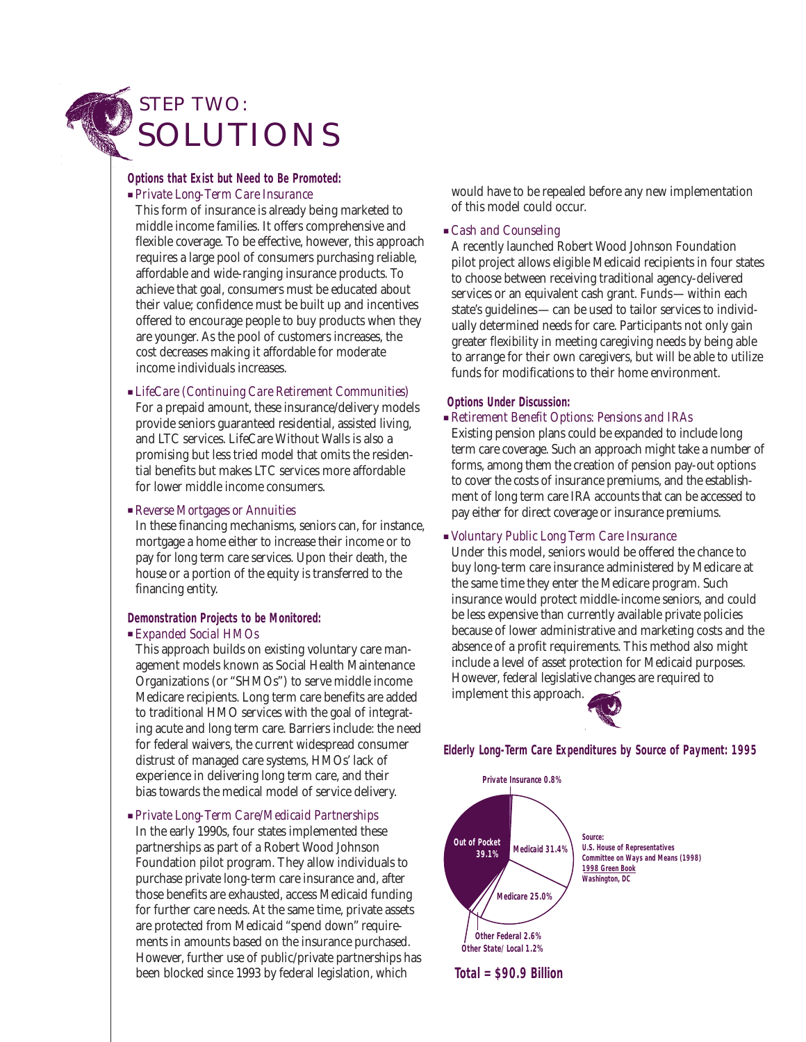# STEP TWO: SOLUTIONS

# **Options that Exist but Need to Be Promoted:**

■ *Private Long-Term Care Insurance*

This form of insurance is already being marketed to middle income families. It offers comprehensive and flexible coverage. To be effective, however, this approach requires a large pool of consumers purchasing reliable, affordable and wide-ranging insurance products. To achieve that goal, consumers must be educated about their value; confidence must be built up and incentives offered to encourage people to buy products when they are younger. As the pool of customers increases, the cost decreases making it affordable for moderate income individuals increases.

■ *LifeCare (Continuing Care Retirement Communities)* For a prepaid amount, these insurance/delivery models provide seniors guaranteed residential, assisted living, and LTC services. LifeCare Without Walls is also a promising but less tried model that omits the residential benefits but makes LTC services more affordable for lower middle income consumers.

#### ■ *Reverse Mortgages or Annuities*

In these financing mechanisms, seniors can, for instance, mortgage a home either to increase their income or to pay for long term care services. Upon their death, the house or a portion of the equity is transferred to the financing entity.

### **Demonstration Projects to be Monitored:**

### ■ *Expanded Social HMOs*

This approach builds on existing voluntary care management models known as Social Health Maintenance Organizations (or "SHMOs") to serve middle income Medicare recipients. Long term care benefits are added to traditional HMO services with the goal of integrating acute and long term care. Barriers include: the need for federal waivers, the current widespread consumer distrust of managed care systems, HMOs' lack of experience in delivering long term care, and their bias towards the medical model of service delivery.

■ *Private Long-Term Care/Medicaid Partnerships* In the early 1990s, four states implemented these partnerships as part of a Robert Wood Johnson Foundation pilot program. They allow individuals to purchase private long-term care insurance and, after those benefits are exhausted, access Medicaid funding for further care needs. At the same time, private assets are protected from Medicaid "spend down" requirements in amounts based on the insurance purchased. However, further use of public/private partnerships has been blocked since 1993 by federal legislation, which

would have to be repealed before any new implementation of this model could occur.

# ■ *Cash and Counseling*

A recently launched Robert Wood Johnson Foundation pilot project allows eligible Medicaid recipients in four states to choose between receiving traditional agency-delivered services or an equivalent cash grant. Funds—within each state's guidelines—can be used to tailor services to individually determined needs for care. Participants not only gain greater flexibility in meeting caregiving needs by being able to arrange for their own caregivers, but will be able to utilize funds for modifications to their home environment.

# **Options Under Discussion:**

■ *Retirement Benefit Options: Pensions and IRAs*

Existing pension plans could be expanded to include long term care coverage. Such an approach might take a number of forms, among them the creation of pension pay-out options to cover the costs of insurance premiums, and the establishment of long term care IRA accounts that can be accessed to pay either for direct coverage or insurance premiums.

# ■ *Voluntary Public Long Term Care Insurance*

Under this model, seniors would be offered the chance to buy long-term care insurance administered by Medicare at the same time they enter the Medicare program. Such insurance would protect middle-income seniors, and could be less expensive than currently available private policies because of lower administrative and marketing costs and the absence of a profit requirements. This method also might include a level of asset protection for Medicaid purposes. However, federal legislative changes are required to implement this approach.



**Elderly Long-Term Care Expenditures by Source of Payment: 1995**

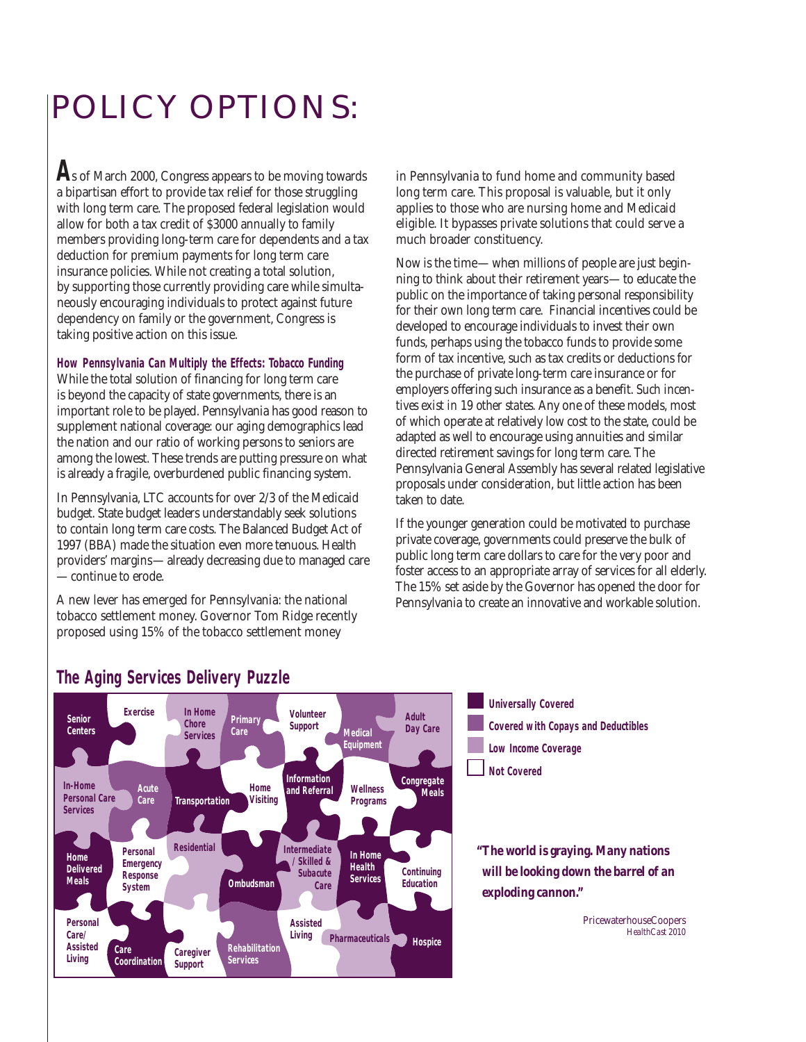# POLICY OPTIONS:

**A**s of March 2000, Congress appears to be moving towards a bipartisan effort to provide tax relief for those struggling with long term care. The proposed federal legislation would allow for both a tax credit of \$3000 annually to family members providing long-term care for dependents and a tax deduction for premium payments for long term care insurance policies. While not creating a total solution, by supporting those currently providing care while simultaneously encouraging individuals to protect against future dependency on family or the government, Congress is taking positive action on this issue.

## **How Pennsylvania Can Multiply the Effects: Tobacco Funding**

While the total solution of financing for long term care is beyond the capacity of state governments, there is an important role to be played. Pennsylvania has good reason to supplement national coverage: our aging demographics lead the nation and our ratio of working persons to seniors are among the lowest. These trends are putting pressure on what is already a fragile, overburdened public financing system.

In Pennsylvania, LTC accounts for over 2/3 of the Medicaid budget. State budget leaders understandably seek solutions to contain long term care costs. The Balanced Budget Act of 1997 (BBA) made the situation even more tenuous. Health providers' margins—already decreasing due to managed care —continue to erode.

A new lever has emerged for Pennsylvania: the national tobacco settlement money. Governor Tom Ridge recently proposed using 15% of the tobacco settlement money

in Pennsylvania to fund home and community based long term care. This proposal is valuable, but it only applies to those who are nursing home and Medicaid eligible. It bypasses private solutions that could serve a much broader constituency.

Now is the time—when millions of people are just beginning to think about their retirement years—to educate the public on the importance of taking personal responsibility for their own long term care. Financial incentives could be developed to encourage individuals to invest their own funds, perhaps using the tobacco funds to provide some form of tax incentive, such as tax credits or deductions for the purchase of private long-term care insurance or for employers offering such insurance as a benefit. *Such incentives exist in 19 other states.* Any one of these models, most of which operate at relatively low cost to the state, could be adapted as well to encourage using annuities and similar directed retirement savings for long term care. The Pennsylvania General Assembly has several related legislative proposals under consideration, but little action has been taken to date.

If the younger generation could be motivated to purchase private coverage, governments could preserve the bulk of public long term care dollars to care for the very poor and foster access to an appropriate array of services for all elderly. The 15% set aside by the Governor has opened the door for Pennsylvania to create an innovative and workable solution.



# **The Aging Services Delivery Puzzle**

**Universally Covered Low Income Coverage Not Covered Covered with Copays and Deductibles**

*"The world is graying. Many nations will be looking down the barrel of an exploding cannon."*

> PricewaterhouseCoopers *HealthCast 2010*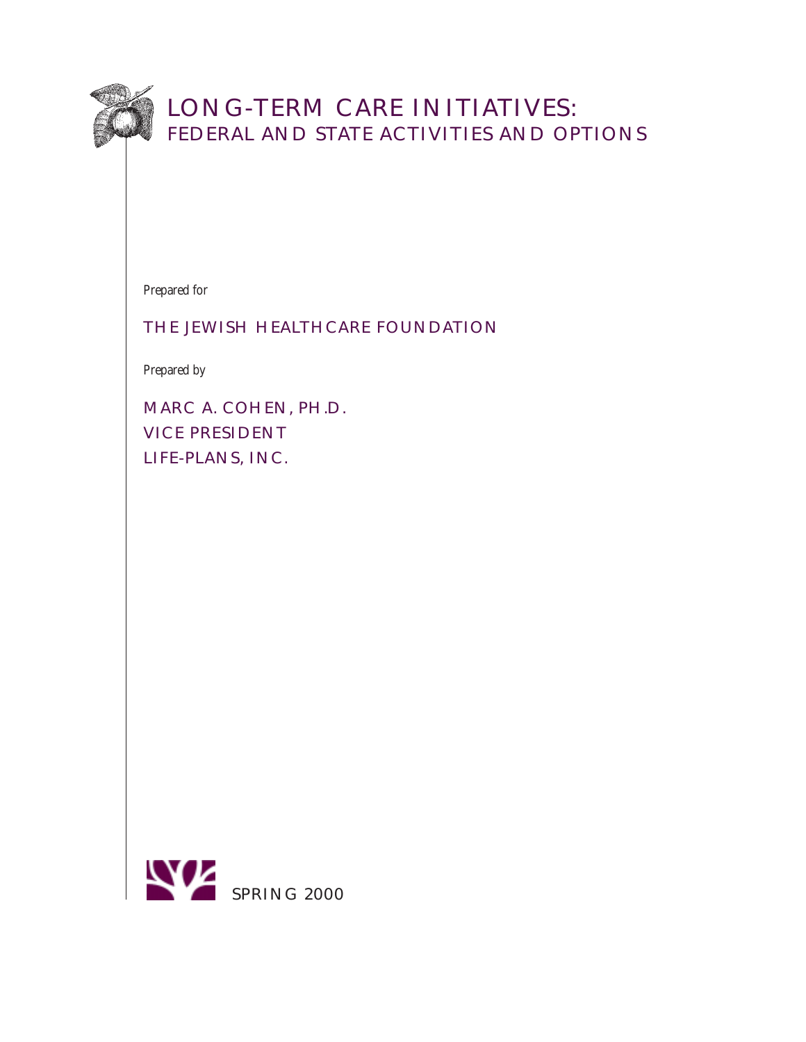

# LONG-TERM CARE INITIATIVES: FEDERAL AND STATE ACTIVITIES AND OPTIONS

Prepared for

# THE JEWISH HEALTHCARE FOUNDATION

Prepared by

MARC A. COHEN, PH.D. VICE PRESIDENT LIFE-PLANS, INC.

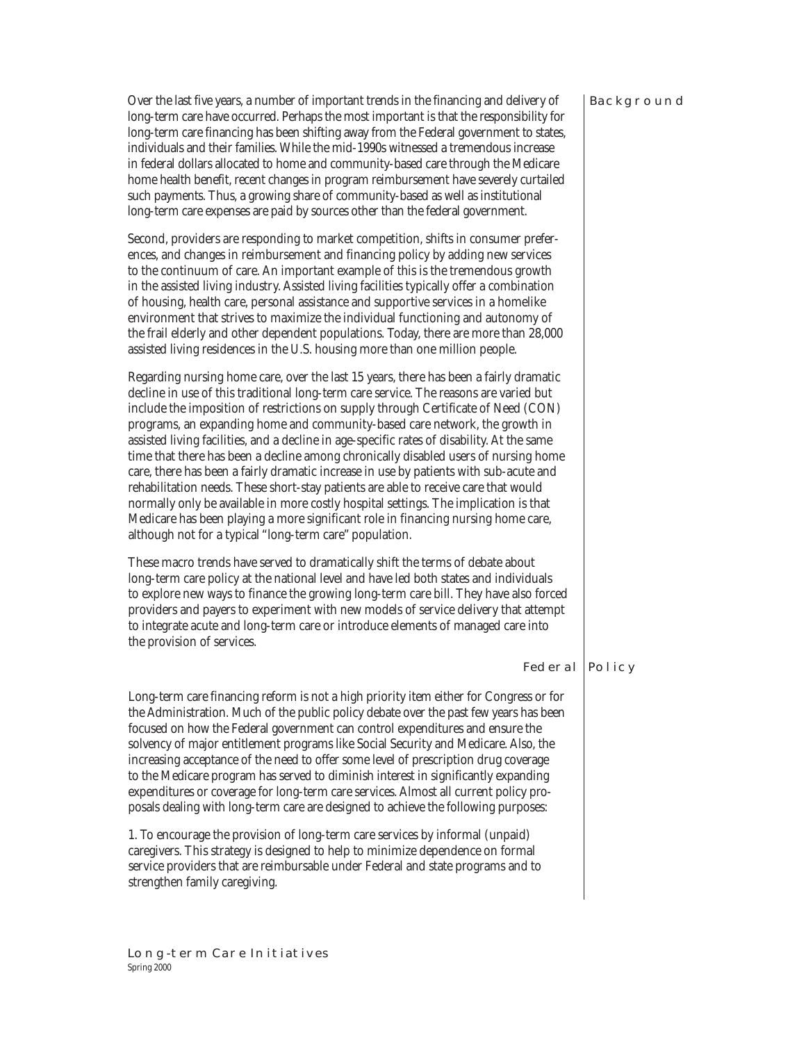#### **BACKGROUND**

Over the last five years, a number of important trends in the financing and delivery of long-term care have occurred. Perhaps the most important is that the responsibility for long-term care financing has been shifting away from the Federal government to states, individuals and their families. While the mid-1990s witnessed a tremendous increase in federal dollars allocated to home and community-based care through the Medicare home health benefit, recent changes in program reimbursement have severely curtailed such payments. Thus, a growing share of community-based as well as institutional long-term care expenses are paid by sources other than the federal government.

Second, providers are responding to market competition, shifts in consumer preferences, and changes in reimbursement and financing policy by adding new services to the continuum of care. An important example of this is the tremendous growth in the assisted living industry. Assisted living facilities typically offer a combination of housing, health care, personal assistance and supportive services in a homelike environment that strives to maximize the individual functioning and autonomy of the frail elderly and other dependent populations. Today, there are more than 28,000 assisted living residences in the U.S. housing more than one million people.

Regarding nursing home care, over the last 15 years, there has been a fairly dramatic decline in use of this traditional long-term care service. The reasons are varied but include the imposition of restrictions on supply through Certificate of Need (CON) programs, an expanding home and community-based care network, the growth in assisted living facilities, and a decline in age-specific rates of disability. At the same time that there has been a decline among chronically disabled users of nursing home care, there has been a fairly dramatic increase in use by patients with sub-acute and rehabilitation needs. These short-stay patients are able to receive care that would normally only be available in more costly hospital settings. The implication is that Medicare has been playing a more significant role in financing nursing home care, although not for a typical "long-term care" population.

These macro trends have served to dramatically shift the terms of debate about long-term care policy at the national level and have led both states and individuals to explore new ways to finance the growing long-term care bill. They have also forced providers and payers to experiment with new models of service delivery that attempt to integrate acute and long-term care or introduce elements of managed care into the provision of services.

# Federal Policy

Long-term care financing reform is not a high priority item either for Congress or for the Administration. Much of the public policy debate over the past few years has been focused on how the Federal government can control expenditures and ensure the solvency of major entitlement programs like Social Security and Medicare. Also, the increasing acceptance of the need to offer some level of prescription drug coverage to the Medicare program has served to diminish interest in significantly expanding expenditures or coverage for long-term care services. Almost all current policy proposals dealing with long-term care are designed to achieve the following purposes:

1. To encourage the provision of long-term care services by informal (unpaid) caregivers. This strategy is designed to help to minimize dependence on formal service providers that are reimbursable under Federal and state programs and to strengthen family caregiving.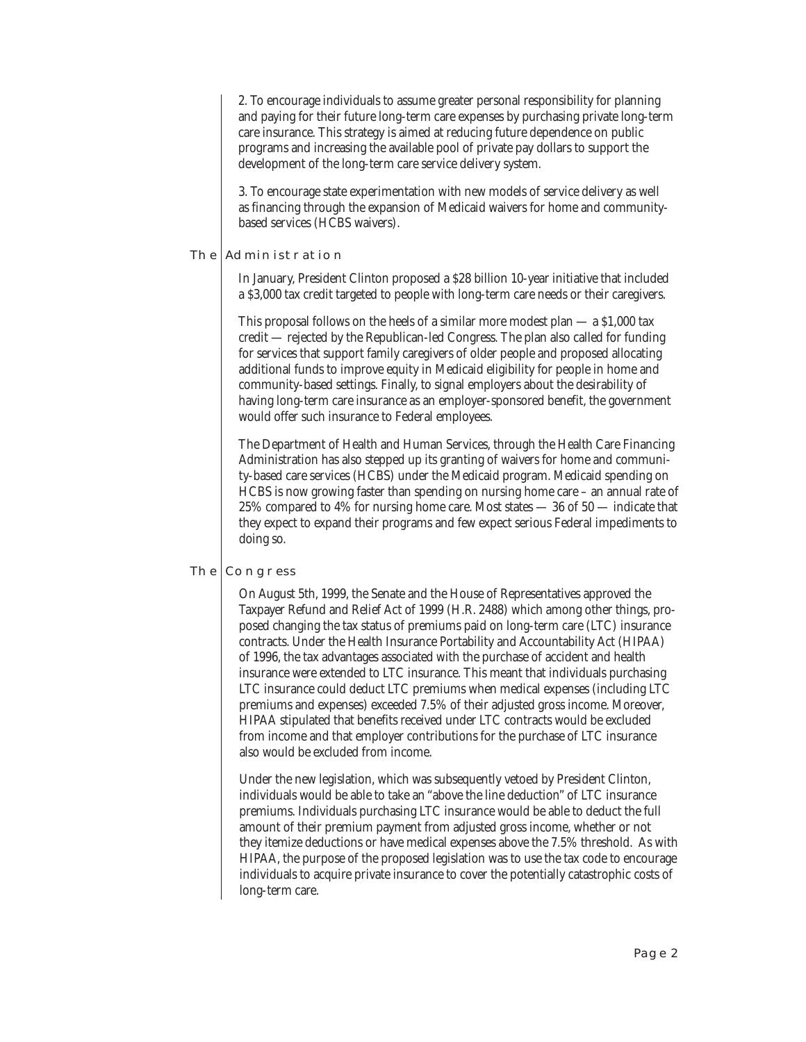2. To encourage individuals to assume greater personal responsibility for planning and paying for their future long-term care expenses by purchasing private long-term care insurance. This strategy is aimed at reducing future dependence on public programs and increasing the available pool of private pay dollars to support the development of the long-term care service delivery system.

3. To encourage state experimentation with new models of service delivery as well as financing through the expansion of Medicaid waivers for home and communitybased services (HCBS waivers).

# THE ADMINISTRATION

In January, President Clinton proposed a \$28 billion 10-year initiative that included a \$3,000 tax credit targeted to people with long-term care needs or their caregivers.

This proposal follows on the heels of a similar more modest plan  $-$  a \$1,000 tax credit — rejected by the Republican-led Congress. The plan also called for funding for services that support family caregivers of older people and proposed allocating additional funds to improve equity in Medicaid eligibility for people in home and community-based settings. Finally, to signal employers about the desirability of having long-term care insurance as an employer-sponsored benefit, the government would offer such insurance to Federal employees.

The Department of Health and Human Services, through the Health Care Financing Administration has also stepped up its granting of waivers for home and community-based care services (HCBS) under the Medicaid program. Medicaid spending on HCBS is now growing faster than spending on nursing home care – an annual rate of 25% compared to 4% for nursing home care. Most states — 36 of 50 — indicate that they expect to expand their programs and few expect serious Federal impediments to doing so.

# THE CONGRESS

On August 5th, 1999, the Senate and the House of Representatives approved the Taxpayer Refund and Relief Act of 1999 (H.R. 2488) which among other things, proposed changing the tax status of premiums paid on long-term care (LTC) insurance contracts. Under the Health Insurance Portability and Accountability Act (HIPAA) of 1996, the tax advantages associated with the purchase of accident and health insurance were extended to LTC insurance. This meant that individuals purchasing LTC insurance could deduct LTC premiums when medical expenses (including LTC premiums and expenses) exceeded 7.5% of their adjusted gross income. Moreover, HIPAA stipulated that benefits received under LTC contracts would be excluded from income and that employer contributions for the purchase of LTC insurance also would be excluded from income.

Under the new legislation, which was subsequently vetoed by President Clinton, individuals would be able to take an "above the line deduction" of LTC insurance premiums. Individuals purchasing LTC insurance would be able to deduct the full amount of their premium payment from adjusted gross income, whether or not they itemize deductions or have medical expenses above the 7.5% threshold. As with HIPAA, the purpose of the proposed legislation was to use the tax code to encourage individuals to acquire private insurance to cover the potentially catastrophic costs of long-term care.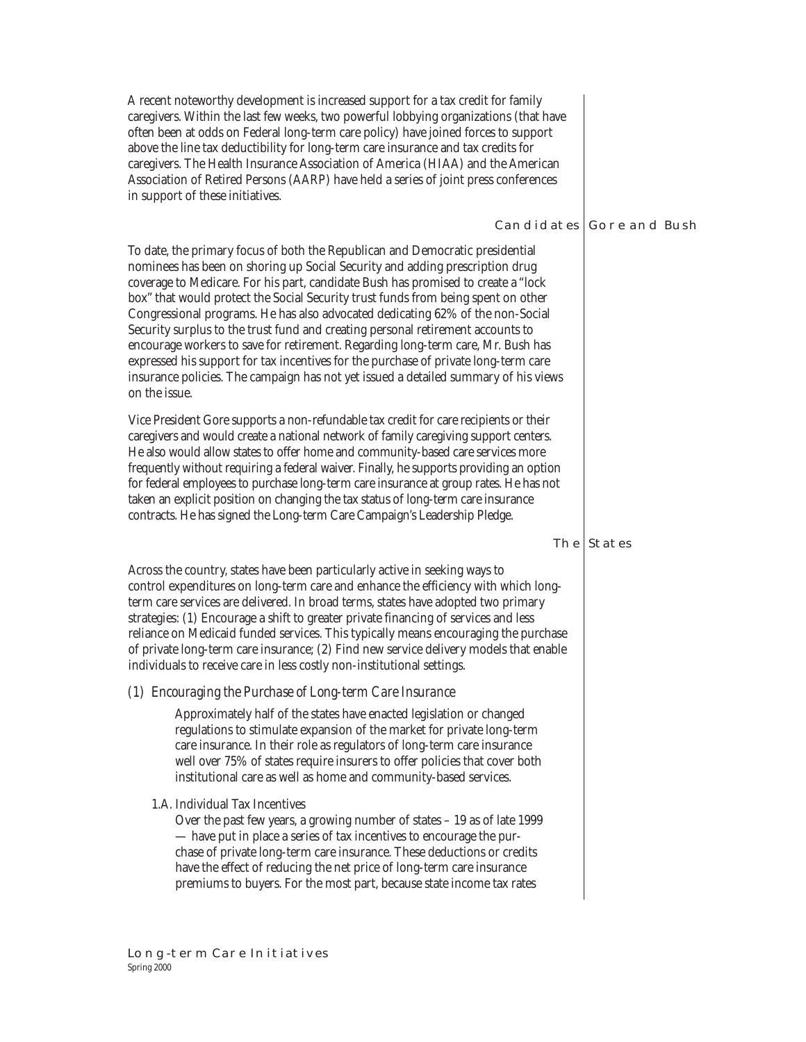A recent noteworthy development is increased support for a tax credit for family caregivers. Within the last few weeks, two powerful lobbying organizations (that have often been at odds on Federal long-term care policy) have joined forces to support above the line tax deductibility for long-term care insurance and tax credits for caregivers. The Health Insurance Association of America (HIAA) and the American Association of Retired Persons (AARP) have held a series of joint press conferences in support of these initiatives.

# CANDIDATES GORE AND BUSH

To date, the primary focus of both the Republican and Democratic presidential nominees has been on shoring up Social Security and adding prescription drug coverage to Medicare. For his part, candidate Bush has promised to create a "lock box" that would protect the Social Security trust funds from being spent on other Congressional programs. He has also advocated dedicating 62% of the non-Social Security surplus to the trust fund and creating personal retirement accounts to encourage workers to save for retirement. Regarding long-term care, Mr. Bush has expressed his support for tax incentives for the purchase of private long-term care insurance policies. The campaign has not yet issued a detailed summary of his views on the issue.

Vice President Gore supports a non-refundable tax credit for care recipients or their caregivers and would create a national network of family caregiving support centers. He also would allow states to offer home and community-based care services more frequently without requiring a federal waiver. Finally, he supports providing an option for federal employees to purchase long-term care insurance at group rates. He has not taken an explicit position on changing the tax status of long-term care insurance contracts. He has signed the Long-term Care Campaign's Leadership Pledge.

# THE STATES

Across the country, states have been particularly active in seeking ways to control expenditures on long-term care and enhance the efficiency with which longterm care services are delivered. In broad terms, states have adopted two primary strategies: (1) Encourage a shift to greater private financing of services and less reliance on Medicaid funded services. This typically means encouraging the purchase of private long-term care insurance; (2) Find new service delivery models that enable individuals to receive care in less costly non-institutional settings.

# *(1) Encouraging the Purchase of Long-term Care Insurance*

Approximately half of the states have enacted legislation or changed regulations to stimulate expansion of the market for private long-term care insurance. In their role as regulators of long-term care insurance well over 75% of states require insurers to offer policies that cover both institutional care as well as home and community-based services.

# 1.A. Individual Tax Incentives

Over the past few years, a growing number of states – 19 as of late 1999 — have put in place a series of tax incentives to encourage the purchase of private long-term care insurance. These deductions or credits have the effect of reducing the net price of long-term care insurance premiums to buyers. For the most part, because state income tax rates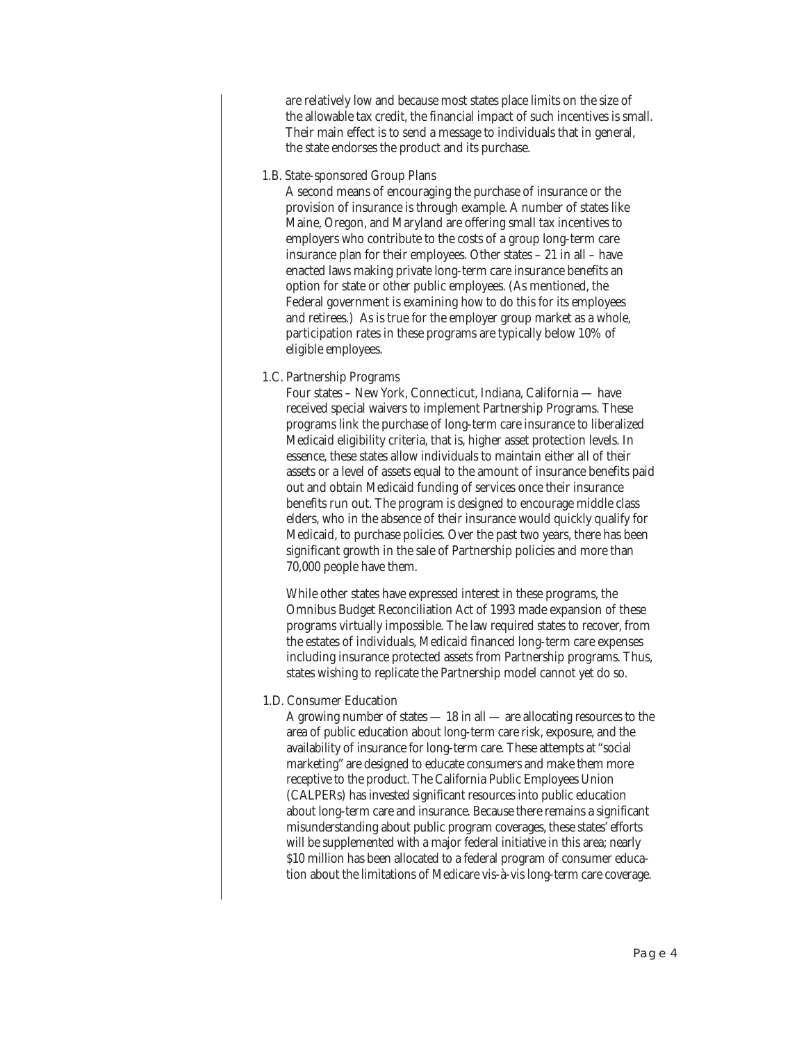are relatively low and because most states place limits on the size of the allowable tax credit, the financial impact of such incentives is small. Their main effect is to send a message to individuals that in general, the state endorses the product and its purchase.

1.B. State-sponsored Group Plans

A second means of encouraging the purchase of insurance or the provision of insurance is through example. A number of states like Maine, Oregon, and Maryland are offering small tax incentives to employers who contribute to the costs of a group long-term care insurance plan for their employees. Other states – 21 in all – have enacted laws making private long-term care insurance benefits an option for state or other public employees. (As mentioned, the Federal government is examining how to do this for its employees and retirees.) As is true for the employer group market as a whole, participation rates in these programs are typically below 10% of eligible employees.

1.C. Partnership Programs

Four states – New York, Connecticut, Indiana, California — have received special waivers to implement Partnership Programs. These programs link the purchase of long-term care insurance to liberalized Medicaid eligibility criteria, that is, higher asset protection levels. In essence, these states allow individuals to maintain either all of their assets or a level of assets equal to the amount of insurance benefits paid out and obtain Medicaid funding of services once their insurance benefits run out. The program is designed to encourage middle class elders, who in the absence of their insurance would quickly qualify for Medicaid, to purchase policies. Over the past two years, there has been significant growth in the sale of Partnership policies and more than 70,000 people have them.

While other states have expressed interest in these programs, the Omnibus Budget Reconciliation Act of 1993 made expansion of these programs virtually impossible. The law required states to recover, from the estates of individuals, Medicaid financed long-term care expenses including insurance protected assets from Partnership programs. Thus, states wishing to replicate the Partnership model cannot yet do so.

1.D. Consumer Education

A growing number of states — 18 in all — are allocating resources to the area of public education about long-term care risk, exposure, and the availability of insurance for long-term care. These attempts at "social marketing" are designed to educate consumers and make them more receptive to the product. The California Public Employees Union (CALPERs) has invested significant resources into public education about long-term care and insurance. Because there remains a significant misunderstanding about public program coverages, these states' efforts will be supplemented with a major federal initiative in this area; nearly \$10 million has been allocated to a federal program of consumer education about the limitations of Medicare vis-à-vis long-term care coverage.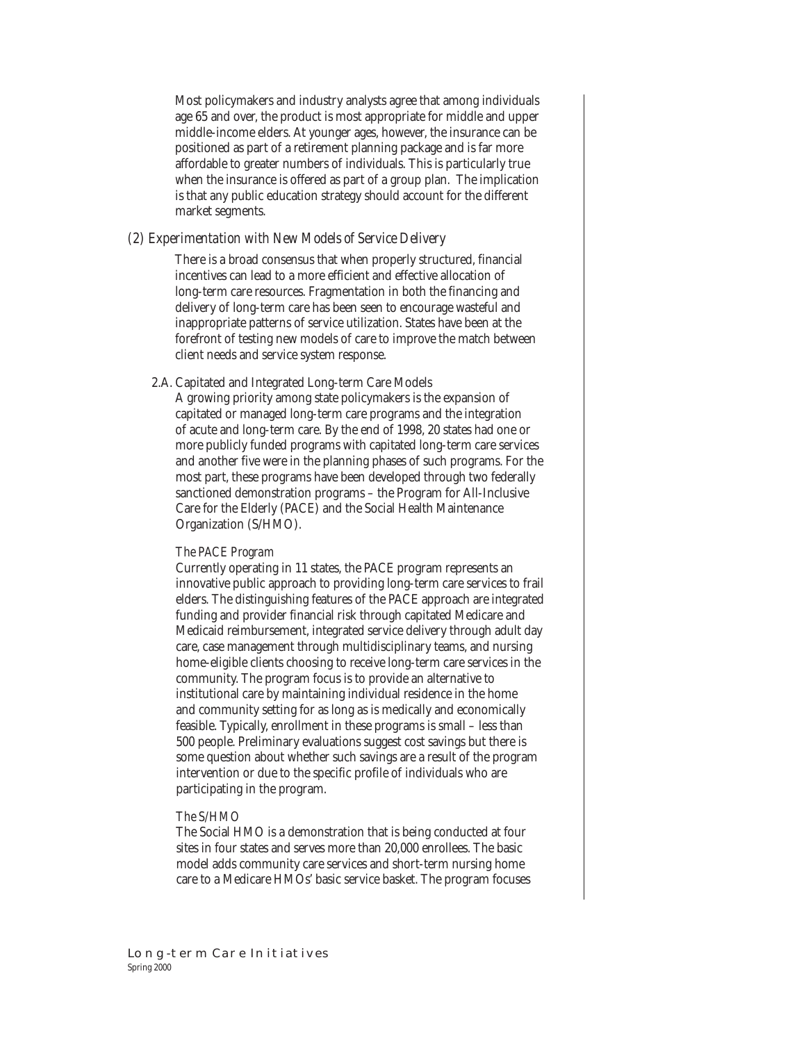Most policymakers and industry analysts agree that among individuals age 65 and over, the product is most appropriate for middle and upper middle-income elders. At younger ages, however, the insurance can be positioned as part of a retirement planning package and is far more affordable to greater numbers of individuals. This is particularly true when the insurance is offered as part of a group plan. The implication is that any public education strategy should account for the different market segments.

### *(2) Experimentation with New Models of Service Delivery*

There is a broad consensus that when properly structured, financial incentives can lead to a more efficient and effective allocation of long-term care resources. Fragmentation in both the financing and delivery of long-term care has been seen to encourage wasteful and inappropriate patterns of service utilization. States have been at the forefront of testing new models of care to improve the match between client needs and service system response.

# 2.A. Capitated and Integrated Long-term Care Models

A growing priority among state policymakers is the expansion of capitated or managed long-term care programs and the integration of acute and long-term care. By the end of 1998, 20 states had one or more publicly funded programs with capitated long-term care services and another five were in the planning phases of such programs. For the most part, these programs have been developed through two federally sanctioned demonstration programs – the Program for All-Inclusive Care for the Elderly (PACE) and the Social Health Maintenance Organization (S/HMO).

#### *The PACE Program*

Currently operating in 11 states, the PACE program represents an innovative public approach to providing long-term care services to frail elders. The distinguishing features of the PACE approach are integrated funding and provider financial risk through capitated Medicare and Medicaid reimbursement, integrated service delivery through adult day care, case management through multidisciplinary teams, and nursing home-eligible clients choosing to receive long-term care services in the community. The program focus is to provide an alternative to institutional care by maintaining individual residence in the home and community setting for as long as is medically and economically feasible. Typically, enrollment in these programs is small – less than 500 people. Preliminary evaluations suggest cost savings but there is some question about whether such savings are a result of the program intervention or due to the specific profile of individuals who are participating in the program.

# *The S/HMO*

The Social HMO is a demonstration that is being conducted at four sites in four states and serves more than 20,000 enrollees. The basic model adds community care services and short-term nursing home care to a Medicare HMOs' basic service basket. The program focuses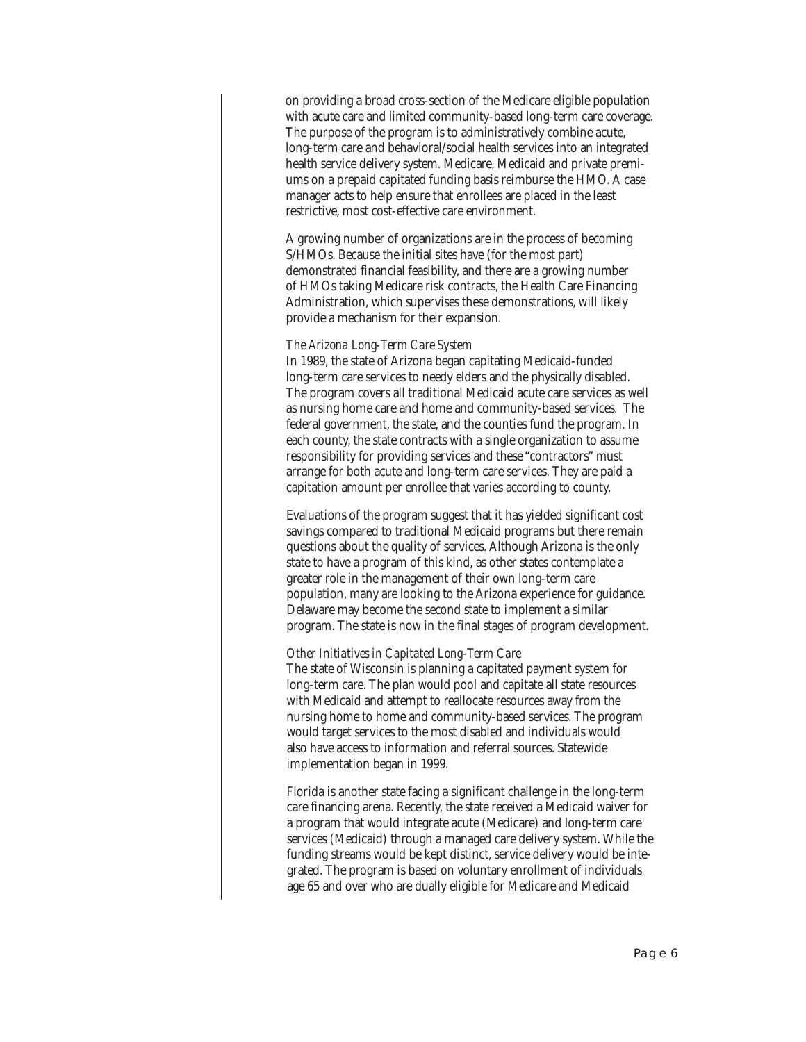on providing a broad cross-section of the Medicare eligible population with acute care and limited community-based long-term care coverage. The purpose of the program is to administratively combine acute, long-term care and behavioral/social health services into an integrated health service delivery system. Medicare, Medicaid and private premiums on a prepaid capitated funding basis reimburse the HMO. A case manager acts to help ensure that enrollees are placed in the least restrictive, most cost-effective care environment.

A growing number of organizations are in the process of becoming S/HMOs. Because the initial sites have (for the most part) demonstrated financial feasibility, and there are a growing number of HMOs taking Medicare risk contracts, the Health Care Financing Administration, which supervises these demonstrations, will likely provide a mechanism for their expansion.

#### *The Arizona Long-Term Care System*

In 1989, the state of Arizona began capitating Medicaid-funded long-term care services to needy elders and the physically disabled. The program covers all traditional Medicaid acute care services as well as nursing home care and home and community-based services. The federal government, the state, and the counties fund the program. In each county, the state contracts with a single organization to assume responsibility for providing services and these "contractors" must arrange for both acute and long-term care services. They are paid a capitation amount per enrollee that varies according to county.

Evaluations of the program suggest that it has yielded significant cost savings compared to traditional Medicaid programs but there remain questions about the quality of services. Although Arizona is the only state to have a program of this kind, as other states contemplate a greater role in the management of their own long-term care population, many are looking to the Arizona experience for guidance. Delaware may become the second state to implement a similar program. The state is now in the final stages of program development.

#### *Other Initiatives in Capitated Long-Term Care*

The state of Wisconsin is planning a capitated payment system for long-term care. The plan would pool and capitate all state resources with Medicaid and attempt to reallocate resources away from the nursing home to home and community-based services. The program would target services to the most disabled and individuals would also have access to information and referral sources. Statewide implementation began in 1999.

Florida is another state facing a significant challenge in the long-term care financing arena. Recently, the state received a Medicaid waiver for a program that would integrate acute (Medicare) and long-term care services (Medicaid) through a managed care delivery system. While the funding streams would be kept distinct, service delivery would be integrated. The program is based on voluntary enrollment of individuals age 65 and over who are dually eligible for Medicare and Medicaid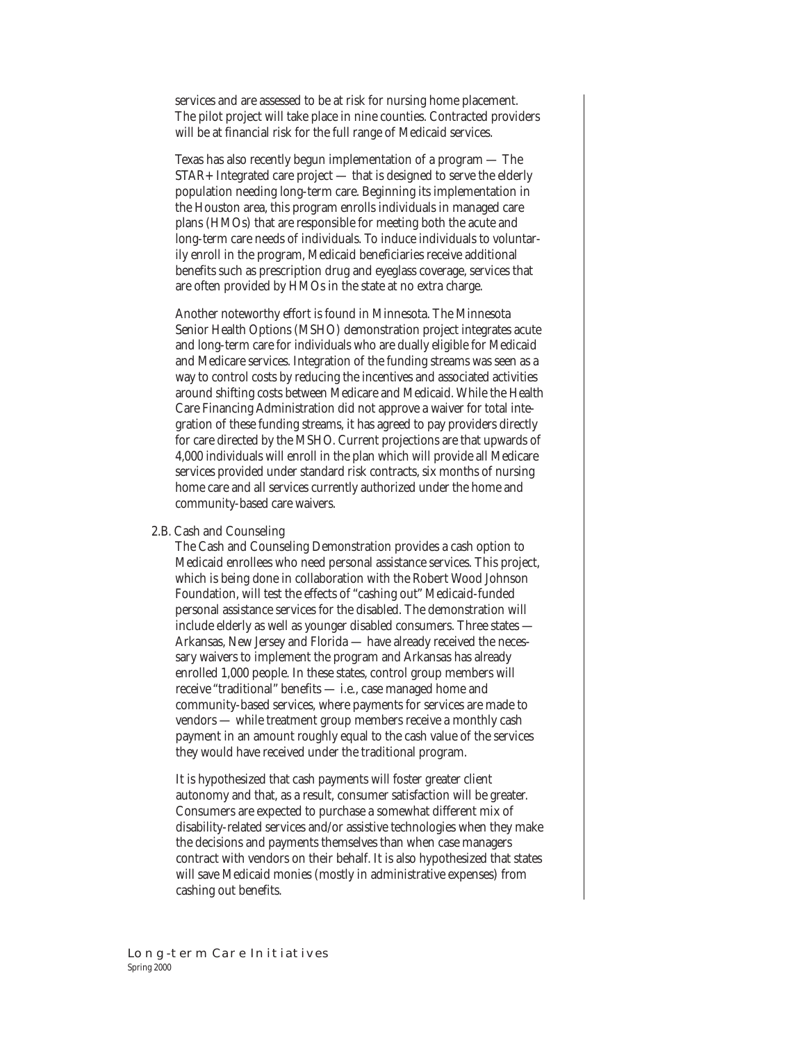services and are assessed to be at risk for nursing home placement. The pilot project will take place in nine counties. Contracted providers will be at financial risk for the full range of Medicaid services.

Texas has also recently begun implementation of a program — The STAR+ Integrated care project — that is designed to serve the elderly population needing long-term care. Beginning its implementation in the Houston area, this program enrolls individuals in managed care plans (HMOs) that are responsible for meeting both the acute and long-term care needs of individuals. To induce individuals to voluntarily enroll in the program, Medicaid beneficiaries receive additional benefits such as prescription drug and eyeglass coverage, services that are often provided by HMOs in the state at no extra charge.

Another noteworthy effort is found in Minnesota. The Minnesota Senior Health Options (MSHO) demonstration project integrates acute and long-term care for individuals who are dually eligible for Medicaid and Medicare services. Integration of the funding streams was seen as a way to control costs by reducing the incentives and associated activities around shifting costs between Medicare and Medicaid. While the Health Care Financing Administration did not approve a waiver for total integration of these funding streams, it has agreed to pay providers directly for care directed by the MSHO. Current projections are that upwards of 4,000 individuals will enroll in the plan which will provide all Medicare services provided under standard risk contracts, six months of nursing home care and all services currently authorized under the home and community-based care waivers.

#### 2.B. Cash and Counseling

The Cash and Counseling Demonstration provides a cash option to Medicaid enrollees who need personal assistance services. This project, which is being done in collaboration with the Robert Wood Johnson Foundation, will test the effects of "cashing out" Medicaid-funded personal assistance services for the disabled. The demonstration will include elderly as well as younger disabled consumers. Three states — Arkansas, New Jersey and Florida — have already received the necessary waivers to implement the program and Arkansas has already enrolled 1,000 people. In these states, control group members will receive "traditional" benefits — i.e., case managed home and community-based services, where payments for services are made to vendors — while treatment group members receive a monthly cash payment in an amount roughly equal to the cash value of the services they would have received under the traditional program.

It is hypothesized that cash payments will foster greater client autonomy and that, as a result, consumer satisfaction will be greater. Consumers are expected to purchase a somewhat different mix of disability-related services and/or assistive technologies when they make the decisions and payments themselves than when case managers contract with vendors on their behalf. It is also hypothesized that states will save Medicaid monies (mostly in administrative expenses) from cashing out benefits.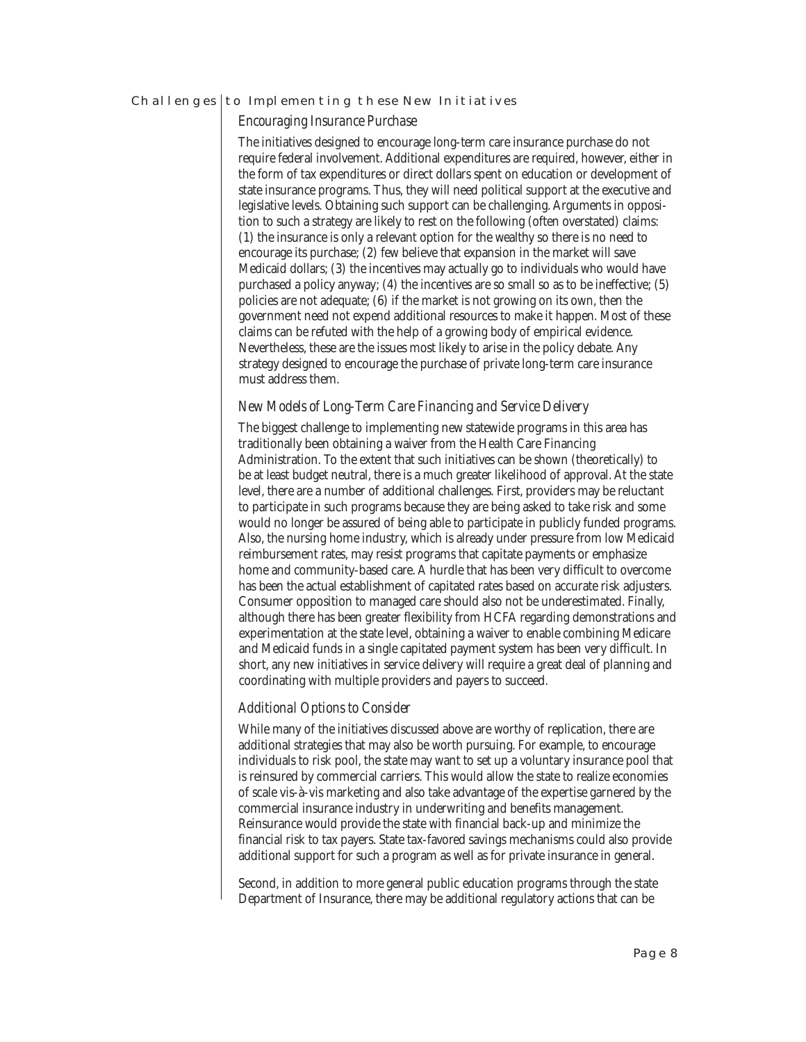#### CHALLENGES | TO IMPLEMENTING THESE NEW INITIATIVES

## *Encouraging Insurance Purchase*

The initiatives designed to encourage long-term care insurance purchase do not require federal involvement. Additional expenditures are required, however, either in the form of tax expenditures or direct dollars spent on education or development of state insurance programs. Thus, they will need political support at the executive and legislative levels. Obtaining such support can be challenging. Arguments in opposition to such a strategy are likely to rest on the following (often overstated) claims: (1) the insurance is only a relevant option for the wealthy so there is no need to encourage its purchase; (2) few believe that expansion in the market will save Medicaid dollars; (3) the incentives may actually go to individuals who would have purchased a policy anyway; (4) the incentives are so small so as to be ineffective; (5) policies are not adequate; (6) if the market is not growing on its own, then the government need not expend additional resources to make it happen. Most of these claims can be refuted with the help of a growing body of empirical evidence. Nevertheless, these are the issues most likely to arise in the policy debate. Any strategy designed to encourage the purchase of private long-term care insurance must address them.

# *New Models of Long-Term Care Financing and Service Delivery*

The biggest challenge to implementing new statewide programs in this area has traditionally been obtaining a waiver from the Health Care Financing Administration. To the extent that such initiatives can be shown (theoretically) to be at least budget neutral, there is a much greater likelihood of approval. At the state level, there are a number of additional challenges. First, providers may be reluctant to participate in such programs because they are being asked to take risk and some would no longer be assured of being able to participate in publicly funded programs. Also, the nursing home industry, which is already under pressure from low Medicaid reimbursement rates, may resist programs that capitate payments or emphasize home and community-based care. A hurdle that has been very difficult to overcome has been the actual establishment of capitated rates based on accurate risk adjusters. Consumer opposition to managed care should also not be underestimated. Finally, although there has been greater flexibility from HCFA regarding demonstrations and experimentation at the state level, obtaining a waiver to enable combining Medicare and Medicaid funds in a single capitated payment system has been very difficult. In short, any new initiatives in service delivery will require a great deal of planning and coordinating with multiple providers and payers to succeed.

# *Additional Options to Consider*

While many of the initiatives discussed above are worthy of replication, there are additional strategies that may also be worth pursuing. For example, to encourage individuals to risk pool, the state may want to set up a voluntary insurance pool that is reinsured by commercial carriers. This would allow the state to realize economies of scale vis-à-vis marketing and also take advantage of the expertise garnered by the commercial insurance industry in underwriting and benefits management. Reinsurance would provide the state with financial back-up and minimize the financial risk to tax payers. State tax-favored savings mechanisms could also provide additional support for such a program as well as for private insurance in general.

Second, in addition to more general public education programs through the state Department of Insurance, there may be additional regulatory actions that can be